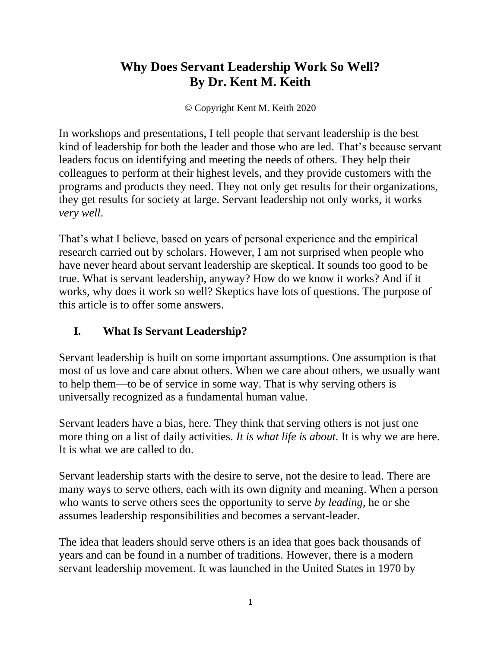# **Why Does Servant Leadership Work So Well? By Dr. Kent M. Keith**

© Copyright Kent M. Keith 2020

In workshops and presentations, I tell people that servant leadership is the best kind of leadership for both the leader and those who are led. That's because servant leaders focus on identifying and meeting the needs of others. They help their colleagues to perform at their highest levels, and they provide customers with the programs and products they need. They not only get results for their organizations, they get results for society at large. Servant leadership not only works, it works *very well*.

That's what I believe, based on years of personal experience and the empirical research carried out by scholars. However, I am not surprised when people who have never heard about servant leadership are skeptical. It sounds too good to be true. What is servant leadership, anyway? How do we know it works? And if it works, why does it work so well? Skeptics have lots of questions. The purpose of this article is to offer some answers.

## **I. What Is Servant Leadership?**

Servant leadership is built on some important assumptions. One assumption is that most of us love and care about others. When we care about others, we usually want to help them—to be of service in some way. That is why serving others is universally recognized as a fundamental human value.

Servant leaders have a bias, here. They think that serving others is not just one more thing on a list of daily activities. *It is what life is about.* It is why we are here. It is what we are called to do.

Servant leadership starts with the desire to serve, not the desire to lead. There are many ways to serve others, each with its own dignity and meaning. When a person who wants to serve others sees the opportunity to serve *by leading*, he or she assumes leadership responsibilities and becomes a servant-leader.

The idea that leaders should serve others is an idea that goes back thousands of years and can be found in a number of traditions. However, there is a modern servant leadership movement. It was launched in the United States in 1970 by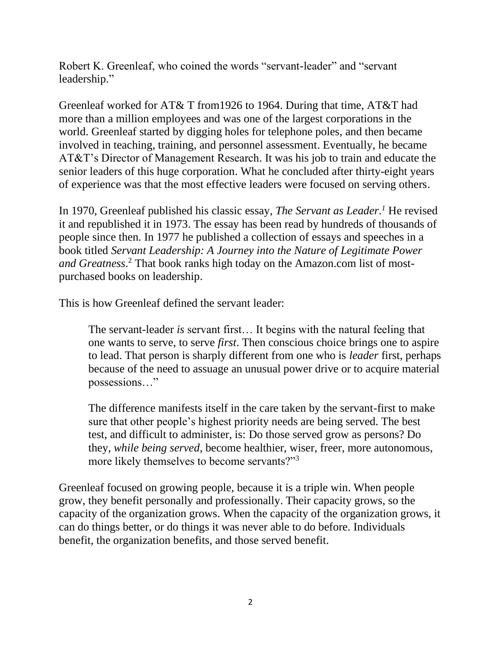Robert K. Greenleaf, who coined the words "servant-leader" and "servant leadership."

Greenleaf worked for AT& T from1926 to 1964. During that time, AT&T had more than a million employees and was one of the largest corporations in the world. Greenleaf started by digging holes for telephone poles, and then became involved in teaching, training, and personnel assessment. Eventually, he became AT&T's Director of Management Research. It was his job to train and educate the senior leaders of this huge corporation. What he concluded after thirty-eight years of experience was that the most effective leaders were focused on serving others.

In 1970, Greenleaf published his classic essay, *The Servant as Leader*.<sup>1</sup> He revised it and republished it in 1973. The essay has been read by hundreds of thousands of people since then. In 1977 he published a collection of essays and speeches in a book titled *Servant Leadership: A Journey into the Nature of Legitimate Power and Greatness*. <sup>2</sup> That book ranks high today on the Amazon.com list of mostpurchased books on leadership.

This is how Greenleaf defined the servant leader:

The servant-leader *is* servant first… It begins with the natural feeling that one wants to serve, to serve *first*. Then conscious choice brings one to aspire to lead. That person is sharply different from one who is *leader* first, perhaps because of the need to assuage an unusual power drive or to acquire material possessions…"

The difference manifests itself in the care taken by the servant-first to make sure that other people's highest priority needs are being served. The best test, and difficult to administer, is: Do those served grow as persons? Do they, *while being served*, become healthier, wiser, freer, more autonomous, more likely themselves to become servants?"<sup>3</sup>

Greenleaf focused on growing people, because it is a triple win. When people grow, they benefit personally and professionally. Their capacity grows, so the capacity of the organization grows. When the capacity of the organization grows, it can do things better, or do things it was never able to do before. Individuals benefit, the organization benefits, and those served benefit.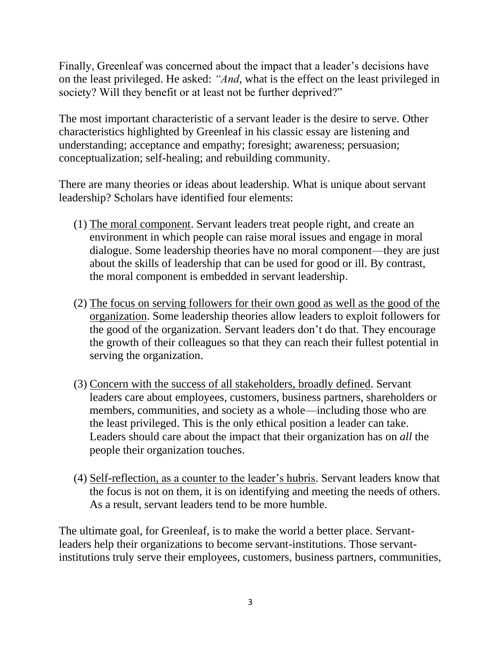Finally, Greenleaf was concerned about the impact that a leader's decisions have on the least privileged. He asked: *"And*, what is the effect on the least privileged in society? Will they benefit or at least not be further deprived?"

The most important characteristic of a servant leader is the desire to serve*.* Other characteristics highlighted by Greenleaf in his classic essay are listening and understanding; acceptance and empathy; foresight; awareness; persuasion; conceptualization; self-healing; and rebuilding community.

There are many theories or ideas about leadership. What is unique about servant leadership? Scholars have identified four elements:

- (1) The moral component. Servant leaders treat people right, and create an environment in which people can raise moral issues and engage in moral dialogue. Some leadership theories have no moral component—they are just about the skills of leadership that can be used for good or ill. By contrast, the moral component is embedded in servant leadership.
- (2) The focus on serving followers for their own good as well as the good of the organization. Some leadership theories allow leaders to exploit followers for the good of the organization. Servant leaders don't do that. They encourage the growth of their colleagues so that they can reach their fullest potential in serving the organization.
- (3) Concern with the success of all stakeholders, broadly defined. Servant leaders care about employees, customers, business partners, shareholders or members, communities, and society as a whole—including those who are the least privileged. This is the only ethical position a leader can take. Leaders should care about the impact that their organization has on *all* the people their organization touches.
- (4) Self-reflection, as a counter to the leader's hubris. Servant leaders know that the focus is not on them, it is on identifying and meeting the needs of others. As a result, servant leaders tend to be more humble.

The ultimate goal, for Greenleaf, is to make the world a better place. Servantleaders help their organizations to become servant-institutions. Those servantinstitutions truly serve their employees, customers, business partners, communities,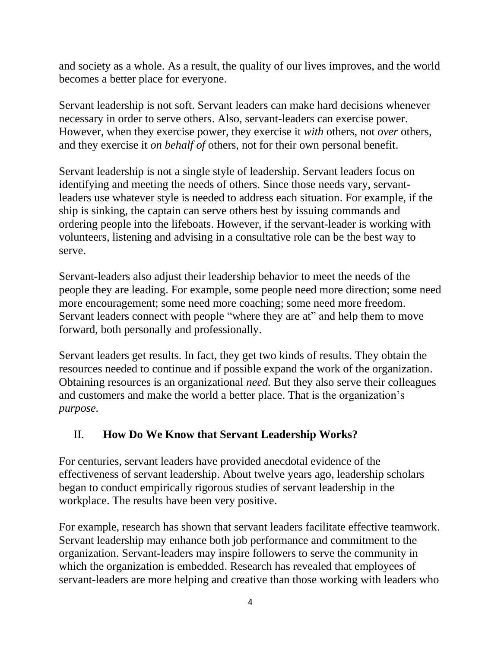and society as a whole. As a result, the quality of our lives improves, and the world becomes a better place for everyone.

Servant leadership is not soft. Servant leaders can make hard decisions whenever necessary in order to serve others. Also, servant-leaders can exercise power. However, when they exercise power, they exercise it *with* others, not *over* others, and they exercise it *on behalf of* others, not for their own personal benefit.

Servant leadership is not a single style of leadership. Servant leaders focus on identifying and meeting the needs of others. Since those needs vary, servantleaders use whatever style is needed to address each situation. For example, if the ship is sinking, the captain can serve others best by issuing commands and ordering people into the lifeboats. However, if the servant-leader is working with volunteers, listening and advising in a consultative role can be the best way to serve.

Servant-leaders also adjust their leadership behavior to meet the needs of the people they are leading. For example, some people need more direction; some need more encouragement; some need more coaching; some need more freedom. Servant leaders connect with people "where they are at" and help them to move forward, both personally and professionally.

Servant leaders get results. In fact, they get two kinds of results. They obtain the resources needed to continue and if possible expand the work of the organization. Obtaining resources is an organizational *need.* But they also serve their colleagues and customers and make the world a better place. That is the organization's *purpose.*

## II. **How Do We Know that Servant Leadership Works?**

For centuries, servant leaders have provided anecdotal evidence of the effectiveness of servant leadership. About twelve years ago, leadership scholars began to conduct empirically rigorous studies of servant leadership in the workplace. The results have been very positive.

For example, research has shown that servant leaders facilitate effective teamwork. Servant leadership may enhance both job performance and commitment to the organization. Servant-leaders may inspire followers to serve the community in which the organization is embedded. Research has revealed that employees of servant-leaders are more helping and creative than those working with leaders who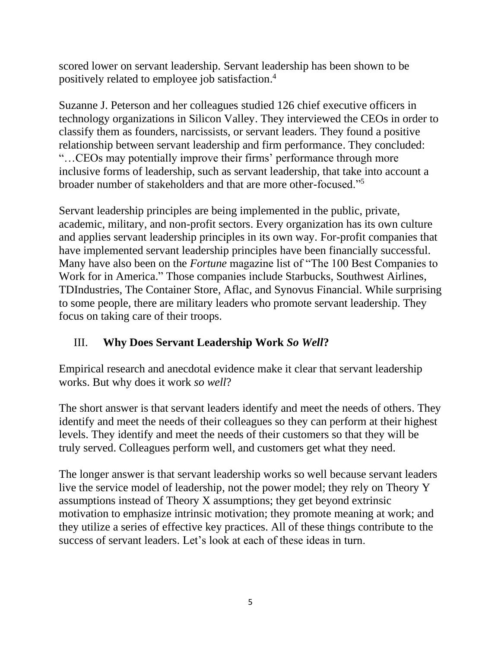scored lower on servant leadership. Servant leadership has been shown to be positively related to employee job satisfaction. 4

Suzanne J. Peterson and her colleagues studied 126 chief executive officers in technology organizations in Silicon Valley. They interviewed the CEOs in order to classify them as founders, narcissists, or servant leaders. They found a positive relationship between servant leadership and firm performance. They concluded: "…CEOs may potentially improve their firms' performance through more inclusive forms of leadership, such as servant leadership, that take into account a broader number of stakeholders and that are more other-focused."<sup>5</sup>

Servant leadership principles are being implemented in the public, private, academic, military, and non-profit sectors. Every organization has its own culture and applies servant leadership principles in its own way. For-profit companies that have implemented servant leadership principles have been financially successful. Many have also been on the *Fortune* magazine list of "The 100 Best Companies to Work for in America." Those companies include Starbucks, Southwest Airlines, TDIndustries, The Container Store, Aflac, and Synovus Financial. While surprising to some people, there are military leaders who promote servant leadership. They focus on taking care of their troops.

## III. **Why Does Servant Leadership Work** *So Well***?**

Empirical research and anecdotal evidence make it clear that servant leadership works. But why does it work *so well*?

The short answer is that servant leaders identify and meet the needs of others. They identify and meet the needs of their colleagues so they can perform at their highest levels. They identify and meet the needs of their customers so that they will be truly served. Colleagues perform well, and customers get what they need.

The longer answer is that servant leadership works so well because servant leaders live the service model of leadership, not the power model; they rely on Theory Y assumptions instead of Theory X assumptions; they get beyond extrinsic motivation to emphasize intrinsic motivation; they promote meaning at work; and they utilize a series of effective key practices. All of these things contribute to the success of servant leaders. Let's look at each of these ideas in turn.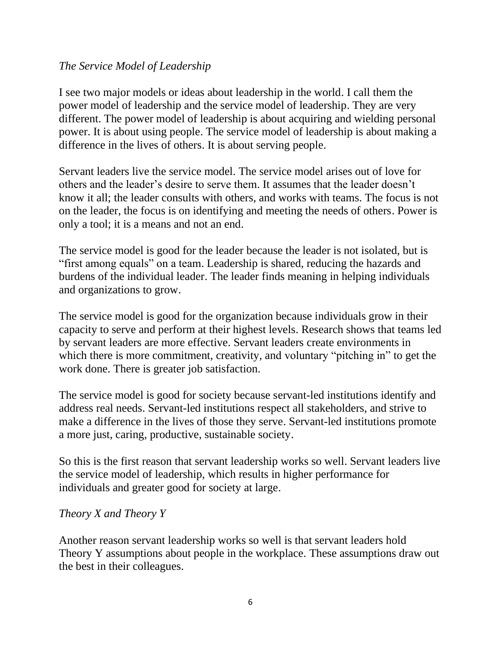### *The Service Model of Leadership*

I see two major models or ideas about leadership in the world. I call them the power model of leadership and the service model of leadership. They are very different. The power model of leadership is about acquiring and wielding personal power. It is about using people. The service model of leadership is about making a difference in the lives of others. It is about serving people.

Servant leaders live the service model. The service model arises out of love for others and the leader's desire to serve them. It assumes that the leader doesn't know it all; the leader consults with others, and works with teams. The focus is not on the leader, the focus is on identifying and meeting the needs of others. Power is only a tool; it is a means and not an end.

The service model is good for the leader because the leader is not isolated, but is "first among equals" on a team. Leadership is shared, reducing the hazards and burdens of the individual leader. The leader finds meaning in helping individuals and organizations to grow.

The service model is good for the organization because individuals grow in their capacity to serve and perform at their highest levels. Research shows that teams led by servant leaders are more effective. Servant leaders create environments in which there is more commitment, creativity, and voluntary "pitching in" to get the work done. There is greater job satisfaction.

The service model is good for society because servant-led institutions identify and address real needs. Servant-led institutions respect all stakeholders, and strive to make a difference in the lives of those they serve. Servant-led institutions promote a more just, caring, productive, sustainable society.

So this is the first reason that servant leadership works so well. Servant leaders live the service model of leadership, which results in higher performance for individuals and greater good for society at large.

#### *Theory X and Theory Y*

Another reason servant leadership works so well is that servant leaders hold Theory Y assumptions about people in the workplace. These assumptions draw out the best in their colleagues.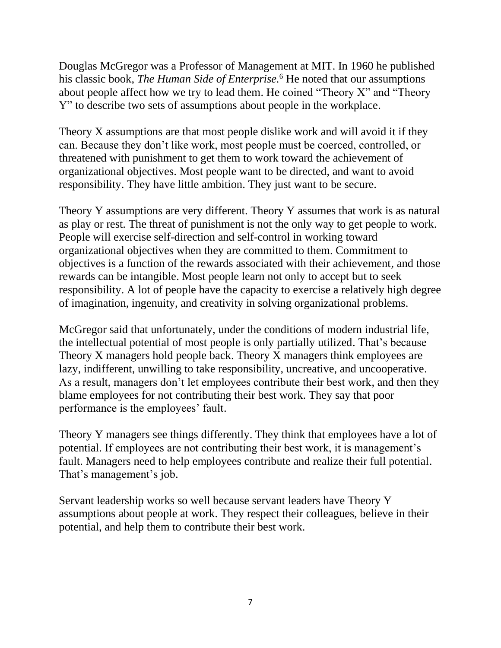Douglas McGregor was a Professor of Management at MIT. In 1960 he published his classic book, *The Human Side of Enterprise.* <sup>6</sup> He noted that our assumptions about people affect how we try to lead them. He coined "Theory X" and "Theory Y" to describe two sets of assumptions about people in the workplace.

Theory X assumptions are that most people dislike work and will avoid it if they can. Because they don't like work, most people must be coerced, controlled, or threatened with punishment to get them to work toward the achievement of organizational objectives. Most people want to be directed, and want to avoid responsibility. They have little ambition. They just want to be secure.

Theory Y assumptions are very different. Theory Y assumes that work is as natural as play or rest. The threat of punishment is not the only way to get people to work. People will exercise self-direction and self-control in working toward organizational objectives when they are committed to them. Commitment to objectives is a function of the rewards associated with their achievement, and those rewards can be intangible. Most people learn not only to accept but to seek responsibility. A lot of people have the capacity to exercise a relatively high degree of imagination, ingenuity, and creativity in solving organizational problems.

McGregor said that unfortunately, under the conditions of modern industrial life, the intellectual potential of most people is only partially utilized. That's because Theory X managers hold people back. Theory X managers think employees are lazy, indifferent, unwilling to take responsibility, uncreative, and uncooperative. As a result, managers don't let employees contribute their best work, and then they blame employees for not contributing their best work. They say that poor performance is the employees' fault.

Theory Y managers see things differently. They think that employees have a lot of potential. If employees are not contributing their best work, it is management's fault. Managers need to help employees contribute and realize their full potential. That's management's job.

Servant leadership works so well because servant leaders have Theory Y assumptions about people at work. They respect their colleagues, believe in their potential, and help them to contribute their best work.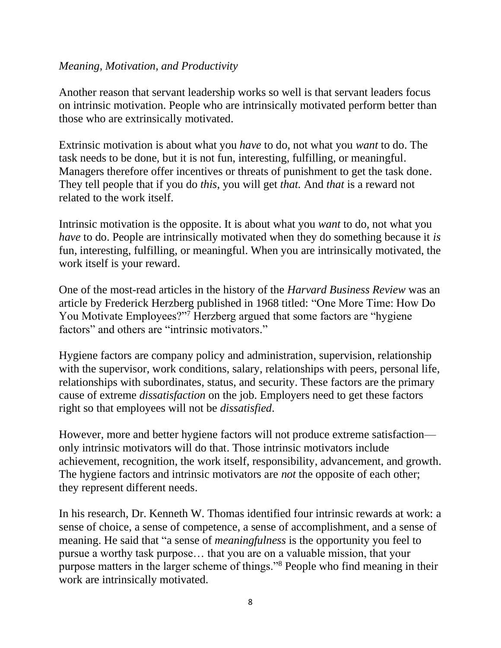### *Meaning, Motivation, and Productivity*

Another reason that servant leadership works so well is that servant leaders focus on intrinsic motivation. People who are intrinsically motivated perform better than those who are extrinsically motivated.

Extrinsic motivation is about what you *have* to do, not what you *want* to do. The task needs to be done, but it is not fun, interesting, fulfilling, or meaningful. Managers therefore offer incentives or threats of punishment to get the task done. They tell people that if you do *this*, you will get *that.* And *that* is a reward not related to the work itself.

Intrinsic motivation is the opposite. It is about what you *want* to do, not what you *have* to do. People are intrinsically motivated when they do something because it *is*  fun, interesting, fulfilling, or meaningful. When you are intrinsically motivated, the work itself is your reward.

One of the most-read articles in the history of the *Harvard Business Review* was an article by Frederick Herzberg published in 1968 titled: "One More Time: How Do You Motivate Employees?"<sup>7</sup> Herzberg argued that some factors are "hygiene factors" and others are "intrinsic motivators."

Hygiene factors are company policy and administration, supervision, relationship with the supervisor, work conditions, salary, relationships with peers, personal life, relationships with subordinates, status, and security. These factors are the primary cause of extreme *dissatisfaction* on the job. Employers need to get these factors right so that employees will not be *dissatisfied*.

However, more and better hygiene factors will not produce extreme satisfaction only intrinsic motivators will do that. Those intrinsic motivators include achievement, recognition, the work itself, responsibility, advancement, and growth. The hygiene factors and intrinsic motivators are *not* the opposite of each other; they represent different needs.

In his research, Dr. Kenneth W. Thomas identified four intrinsic rewards at work: a sense of choice, a sense of competence, a sense of accomplishment, and a sense of meaning. He said that "a sense of *meaningfulness* is the opportunity you feel to pursue a worthy task purpose… that you are on a valuable mission, that your purpose matters in the larger scheme of things."<sup>8</sup> People who find meaning in their work are intrinsically motivated.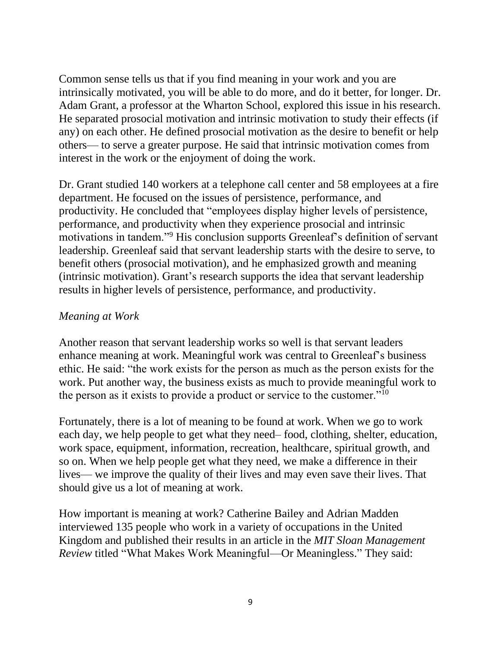Common sense tells us that if you find meaning in your work and you are intrinsically motivated, you will be able to do more, and do it better, for longer. Dr. Adam Grant, a professor at the Wharton School, explored this issue in his research. He separated prosocial motivation and intrinsic motivation to study their effects (if any) on each other. He defined prosocial motivation as the desire to benefit or help others— to serve a greater purpose. He said that intrinsic motivation comes from interest in the work or the enjoyment of doing the work.

Dr. Grant studied 140 workers at a telephone call center and 58 employees at a fire department. He focused on the issues of persistence, performance, and productivity. He concluded that "employees display higher levels of persistence, performance, and productivity when they experience prosocial and intrinsic motivations in tandem."<sup>9</sup> His conclusion supports Greenleaf's definition of servant leadership. Greenleaf said that servant leadership starts with the desire to serve, to benefit others (prosocial motivation), and he emphasized growth and meaning (intrinsic motivation). Grant's research supports the idea that servant leadership results in higher levels of persistence, performance, and productivity.

### *Meaning at Work*

Another reason that servant leadership works so well is that servant leaders enhance meaning at work. Meaningful work was central to Greenleaf's business ethic. He said: "the work exists for the person as much as the person exists for the work. Put another way, the business exists as much to provide meaningful work to the person as it exists to provide a product or service to the customer."<sup>10</sup>

Fortunately, there is a lot of meaning to be found at work. When we go to work each day, we help people to get what they need– food, clothing, shelter, education, work space, equipment, information, recreation, healthcare, spiritual growth, and so on. When we help people get what they need, we make a difference in their lives— we improve the quality of their lives and may even save their lives. That should give us a lot of meaning at work.

How important is meaning at work? Catherine Bailey and Adrian Madden interviewed 135 people who work in a variety of occupations in the United Kingdom and published their results in an article in the *MIT Sloan Management Review* titled "What Makes Work Meaningful—Or Meaningless." They said: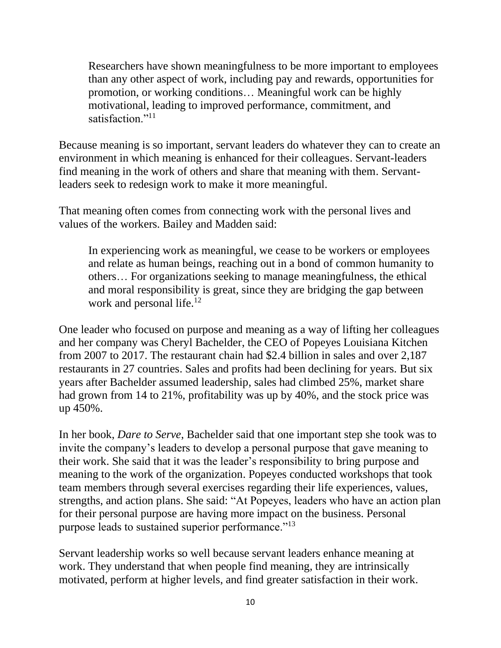Researchers have shown meaningfulness to be more important to employees than any other aspect of work, including pay and rewards, opportunities for promotion, or working conditions… Meaningful work can be highly motivational, leading to improved performance, commitment, and satisfaction."<sup>11</sup>

Because meaning is so important, servant leaders do whatever they can to create an environment in which meaning is enhanced for their colleagues. Servant-leaders find meaning in the work of others and share that meaning with them. Servantleaders seek to redesign work to make it more meaningful.

That meaning often comes from connecting work with the personal lives and values of the workers. Bailey and Madden said:

In experiencing work as meaningful, we cease to be workers or employees and relate as human beings, reaching out in a bond of common humanity to others… For organizations seeking to manage meaningfulness, the ethical and moral responsibility is great, since they are bridging the gap between work and personal life.<sup>12</sup>

One leader who focused on purpose and meaning as a way of lifting her colleagues and her company was Cheryl Bachelder, the CEO of Popeyes Louisiana Kitchen from 2007 to 2017. The restaurant chain had \$2.4 billion in sales and over 2,187 restaurants in 27 countries. Sales and profits had been declining for years. But six years after Bachelder assumed leadership, sales had climbed 25%, market share had grown from 14 to 21%, profitability was up by 40%, and the stock price was up 450%.

In her book, *Dare to Serve*, Bachelder said that one important step she took was to invite the company's leaders to develop a personal purpose that gave meaning to their work. She said that it was the leader's responsibility to bring purpose and meaning to the work of the organization. Popeyes conducted workshops that took team members through several exercises regarding their life experiences, values, strengths, and action plans. She said: "At Popeyes, leaders who have an action plan for their personal purpose are having more impact on the business. Personal purpose leads to sustained superior performance."<sup>13</sup>

Servant leadership works so well because servant leaders enhance meaning at work. They understand that when people find meaning, they are intrinsically motivated, perform at higher levels, and find greater satisfaction in their work.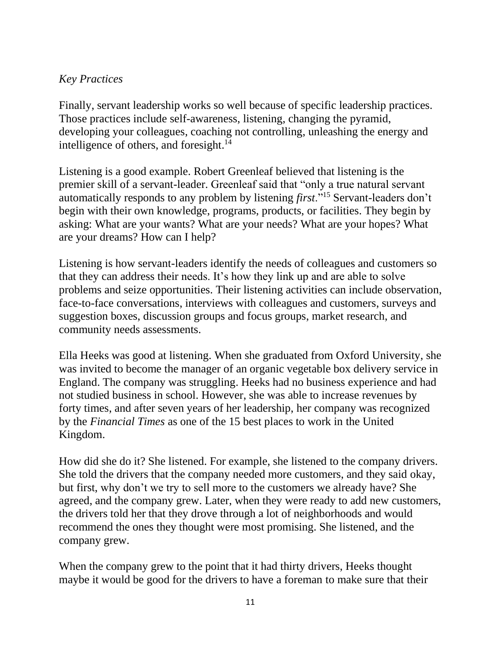## *Key Practices*

Finally, servant leadership works so well because of specific leadership practices. Those practices include self-awareness, listening, changing the pyramid, developing your colleagues, coaching not controlling, unleashing the energy and intelligence of others, and foresight.<sup>14</sup>

Listening is a good example. Robert Greenleaf believed that listening is the premier skill of a servant-leader. Greenleaf said that "only a true natural servant automatically responds to any problem by listening *first*."<sup>15</sup> Servant-leaders don't begin with their own knowledge, programs, products, or facilities. They begin by asking: What are your wants? What are your needs? What are your hopes? What are your dreams? How can I help?

Listening is how servant-leaders identify the needs of colleagues and customers so that they can address their needs. It's how they link up and are able to solve problems and seize opportunities. Their listening activities can include observation, face-to-face conversations, interviews with colleagues and customers, surveys and suggestion boxes, discussion groups and focus groups, market research, and community needs assessments.

Ella Heeks was good at listening. When she graduated from Oxford University, she was invited to become the manager of an organic vegetable box delivery service in England. The company was struggling. Heeks had no business experience and had not studied business in school. However, she was able to increase revenues by forty times, and after seven years of her leadership, her company was recognized by the *Financial Times* as one of the 15 best places to work in the United Kingdom.

How did she do it? She listened. For example, she listened to the company drivers. She told the drivers that the company needed more customers, and they said okay, but first, why don't we try to sell more to the customers we already have? She agreed, and the company grew. Later, when they were ready to add new customers, the drivers told her that they drove through a lot of neighborhoods and would recommend the ones they thought were most promising. She listened, and the company grew.

When the company grew to the point that it had thirty drivers, Heeks thought maybe it would be good for the drivers to have a foreman to make sure that their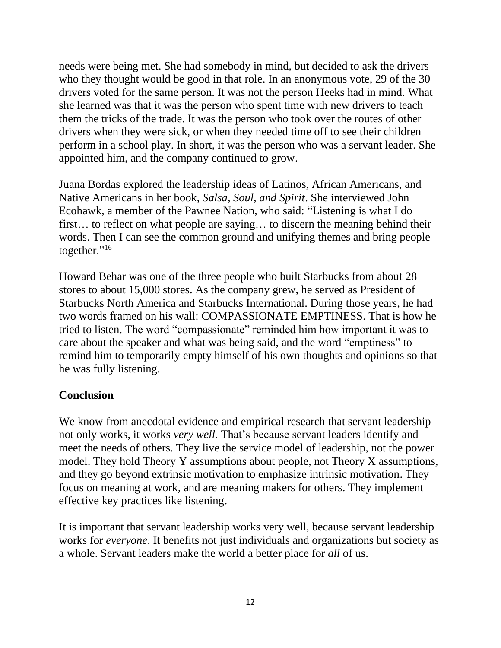needs were being met. She had somebody in mind, but decided to ask the drivers who they thought would be good in that role. In an anonymous vote, 29 of the 30 drivers voted for the same person. It was not the person Heeks had in mind. What she learned was that it was the person who spent time with new drivers to teach them the tricks of the trade. It was the person who took over the routes of other drivers when they were sick, or when they needed time off to see their children perform in a school play. In short, it was the person who was a servant leader. She appointed him, and the company continued to grow.

Juana Bordas explored the leadership ideas of Latinos, African Americans, and Native Americans in her book, *Salsa, Soul, and Spirit*. She interviewed John Ecohawk, a member of the Pawnee Nation, who said: "Listening is what I do first… to reflect on what people are saying… to discern the meaning behind their words. Then I can see the common ground and unifying themes and bring people together."<sup>16</sup>

Howard Behar was one of the three people who built Starbucks from about 28 stores to about 15,000 stores. As the company grew, he served as President of Starbucks North America and Starbucks International. During those years, he had two words framed on his wall: COMPASSIONATE EMPTINESS. That is how he tried to listen. The word "compassionate" reminded him how important it was to care about the speaker and what was being said, and the word "emptiness" to remind him to temporarily empty himself of his own thoughts and opinions so that he was fully listening.

### **Conclusion**

We know from anecdotal evidence and empirical research that servant leadership not only works, it works *very well*. That's because servant leaders identify and meet the needs of others. They live the service model of leadership, not the power model. They hold Theory Y assumptions about people, not Theory X assumptions, and they go beyond extrinsic motivation to emphasize intrinsic motivation. They focus on meaning at work, and are meaning makers for others. They implement effective key practices like listening.

It is important that servant leadership works very well, because servant leadership works for *everyone*. It benefits not just individuals and organizations but society as a whole. Servant leaders make the world a better place for *all* of us.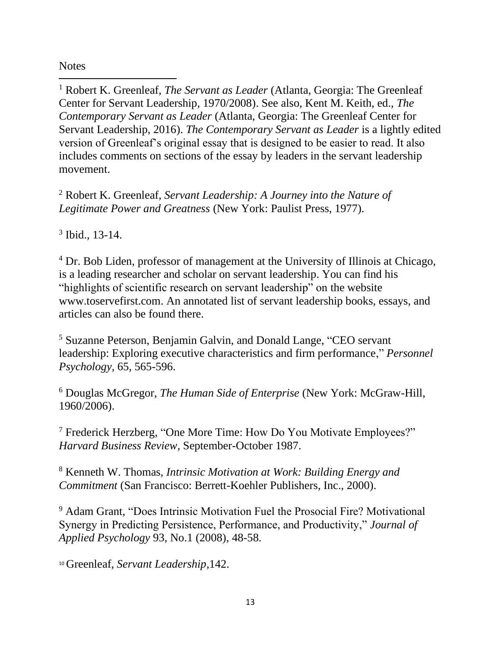**Notes** 

<sup>1</sup> Robert K. Greenleaf, *The Servant as Leader* (Atlanta, Georgia: The Greenleaf Center for Servant Leadership, 1970/2008). See also, Kent M. Keith, ed., *The Contemporary Servant as Leader* (Atlanta, Georgia: The Greenleaf Center for Servant Leadership, 2016). *The Contemporary Servant as Leader* is a lightly edited version of Greenleaf's original essay that is designed to be easier to read. It also includes comments on sections of the essay by leaders in the servant leadership movement.

<sup>2</sup> Robert K. Greenleaf, *Servant Leadership: A Journey into the Nature of Legitimate Power and Greatness* (New York: Paulist Press, 1977).

3 Ibid., 13-14.

<sup>4</sup> Dr. Bob Liden, professor of management at the University of Illinois at Chicago, is a leading researcher and scholar on servant leadership. You can find his "highlights of scientific research on servant leadership" on the website [www.toservefirst.com.](http://www.toservefirst.com/) An annotated list of servant leadership books, essays, and articles can also be found there.

<sup>5</sup> Suzanne Peterson, Benjamin Galvin, and Donald Lange, "CEO servant leadership: Exploring executive characteristics and firm performance," *Personnel Psychology*, 65, 565-596.

<sup>6</sup> Douglas McGregor, *The Human Side of Enterprise* (New York: McGraw-Hill, 1960/2006).

<sup>7</sup> Frederick Herzberg, "One More Time: How Do You Motivate Employees?" *Harvard Business Review*, September-October 1987.

<sup>8</sup> Kenneth W. Thomas, *Intrinsic Motivation at Work: Building Energy and Commitment* (San Francisco: Berrett-Koehler Publishers, Inc., 2000).

<sup>9</sup> Adam Grant, "Does Intrinsic Motivation Fuel the Prosocial Fire? Motivational Synergy in Predicting Persistence, Performance, and Productivity," *Journal of Applied Psychology* 93, No.1 (2008), 48-58.

<sup>10</sup> Greenleaf, *Servant Leadership,*142.